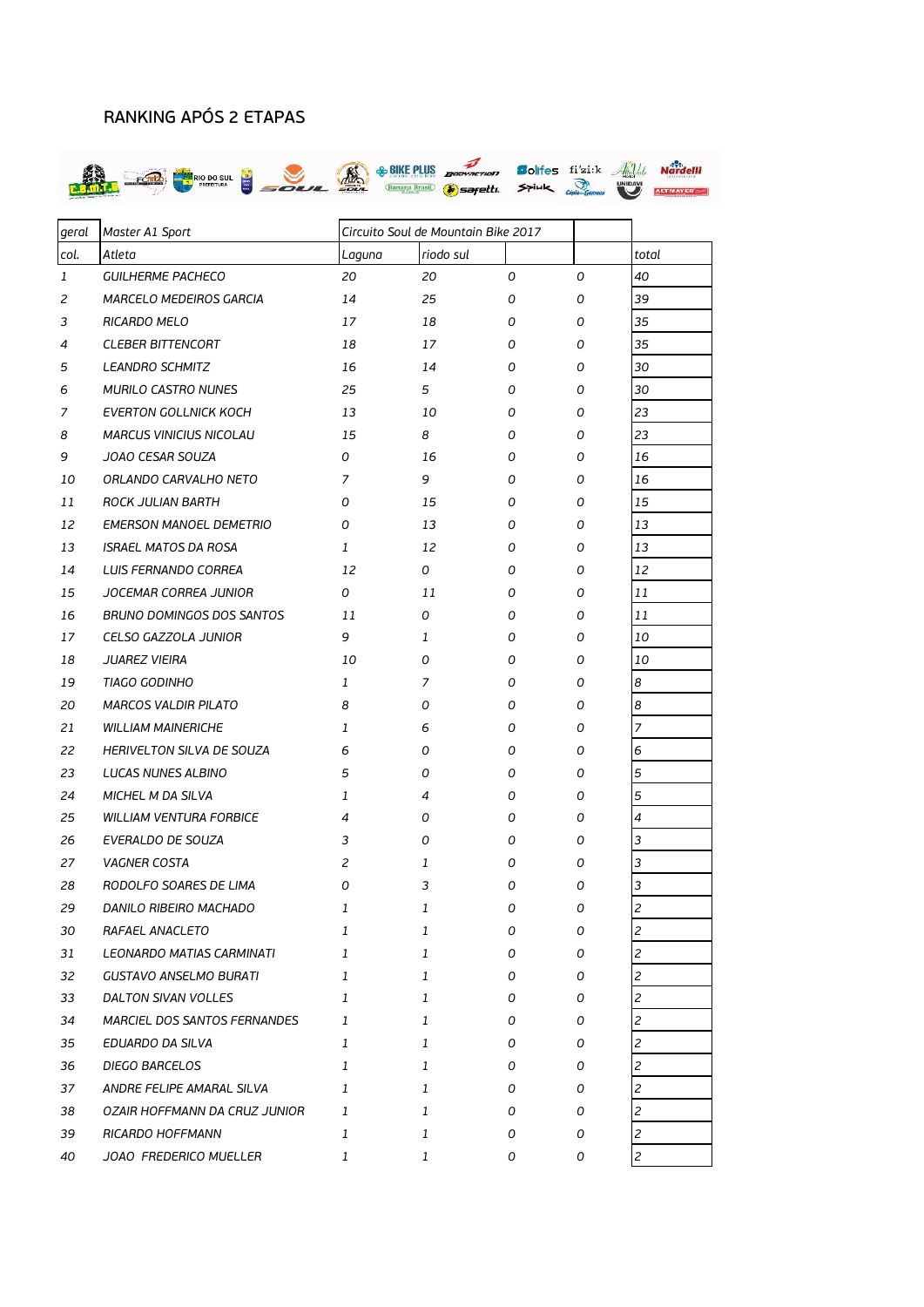## RANKING APÓS 2 ETAPAS



| geral        | Master A1 Sport                  |                           | Circuito Soul de Mountain Bike 2017 |   |   |                |
|--------------|----------------------------------|---------------------------|-------------------------------------|---|---|----------------|
| col.         | Atleta                           | Laguna                    | riodo sul                           |   |   | total          |
| $\mathbf{1}$ | <b>GUILHERME PACHECO</b>         | 20                        | 20                                  | 0 | 0 | 40             |
| 2            | <b>MARCELO MEDEIROS GARCIA</b>   | 14                        | 25                                  | 0 | 0 | 39             |
| 3            | RICARDO MELO                     | 17                        | 18                                  | 0 | 0 | 35             |
| 4            | <b>CLEBER BITTENCORT</b>         | 18                        | 17                                  | 0 | 0 | 35             |
| 5            | <b>LEANDRO SCHMITZ</b>           | 16                        | 14                                  | 0 | 0 | 30             |
| 6            | <b>MURILO CASTRO NUNES</b>       | 25                        | 5                                   | 0 | 0 | 30             |
| 7            | <b>EVERTON GOLLNICK KOCH</b>     | 13                        | 10                                  | 0 | 0 | 23             |
| 8            | <b>MARCUS VINICIUS NICOLAU</b>   | 15                        | 8                                   | 0 | 0 | 23             |
| 9            | JOAO CESAR SOUZA                 | 0                         | 16                                  | 0 | 0 | 16             |
| 10           | ORLANDO CARVALHO NETO            | 7                         | 9                                   | 0 | 0 | 16             |
| 11           | ROCK JULIAN BARTH                | 0                         | 15                                  | 0 | 0 | 15             |
| 12           | <b>EMERSON MANOEL DEMETRIO</b>   | 0                         | 13                                  | 0 | 0 | 13             |
| 13           | <b>ISRAEL MATOS DA ROSA</b>      | 1                         | 12                                  | 0 | 0 | 13             |
| 14           | <b>LUIS FERNANDO CORREA</b>      | 12                        | 0                                   | 0 | 0 | 12             |
| 15           | JOCEMAR CORREA JUNIOR            | 0                         | 11                                  | 0 | 0 | 11             |
| 16           | <b>BRUNO DOMINGOS DOS SANTOS</b> | 11                        | 0                                   | 0 | 0 | 11             |
| 17           | CELSO GAZZOLA JUNIOR             | 9                         | 1                                   | 0 | 0 | 10             |
| 18           | <b>JUAREZ VIEIRA</b>             | 10                        | 0                                   | 0 | 0 | 10             |
| 19           | <b>TIAGO GODINHO</b>             | 1                         | 7                                   | 0 | 0 | 8              |
| 20           | <b>MARCOS VALDIR PILATO</b>      | 8                         | 0                                   | 0 | 0 | 8              |
| 21           | <b>WILLIAM MAINERICHE</b>        | 1                         | 6                                   | 0 | 0 | $\overline{7}$ |
| 22           | HERIVELTON SILVA DE SOUZA        | 6                         | 0                                   | 0 | 0 | 6              |
| 23           | LUCAS NUNES ALBINO               | 5                         | 0                                   | 0 | 0 | 5              |
| 24           | MICHEL M DA SILVA                | 1                         | 4                                   | 0 | 0 | 5              |
| 25           | <b>WILLIAM VENTURA FORBICE</b>   | 4                         | 0                                   | 0 | 0 | $\overline{4}$ |
| 26           | EVERALDO DE SOUZA                | 3                         | 0                                   | 0 | 0 | 3              |
| 27           | <b>VAGNER COSTA</b>              | 2                         | 1                                   | 0 | 0 | 3              |
| 28           | RODOLFO SOARES DE LIMA           | 0                         | 3                                   | 0 | 0 | 3              |
| 29           | DANILO RIBEIRO MACHADO           | $\ensuremath{\mathbf{1}}$ | 1                                   | 0 | 0 | $\overline{c}$ |
| 30           | RAFAEL ANACLETO                  | 1                         | 1                                   | 0 | 0 | 2              |
| 31           | LEONARDO MATIAS CARMINATI        | 1                         | 1                                   | 0 | 0 | 2              |
| 32           | <b>GUSTAVO ANSELMO BURATI</b>    | 1                         | 1                                   | 0 | 0 | 2              |
| 33           | DALTON SIVAN VOLLES              | 1                         | 1                                   | 0 | 0 | $\overline{c}$ |
| 34           | MARCIEL DOS SANTOS FERNANDES     | 1                         | 1                                   | 0 | 0 | 2              |
| 35           | EDUARDO DA SILVA                 | 1                         | 1                                   | 0 | 0 | 2              |
| 36           | DIEGO BARCELOS                   | 1                         | 1                                   | 0 | 0 | 2              |
| 37           | ANDRE FELIPE AMARAL SILVA        | 1                         | 1                                   | 0 | 0 | 2              |
| 38           | OZAIR HOFFMANN DA CRUZ JUNIOR    | 1                         | 1                                   | 0 | 0 | 2              |
| 39           | RICARDO HOFFMANN                 | 1                         | 1                                   | 0 | 0 | $\overline{c}$ |
| 40           | JOAO FREDERICO MUELLER           | 1                         | 1                                   | 0 | 0 | $\overline{c}$ |